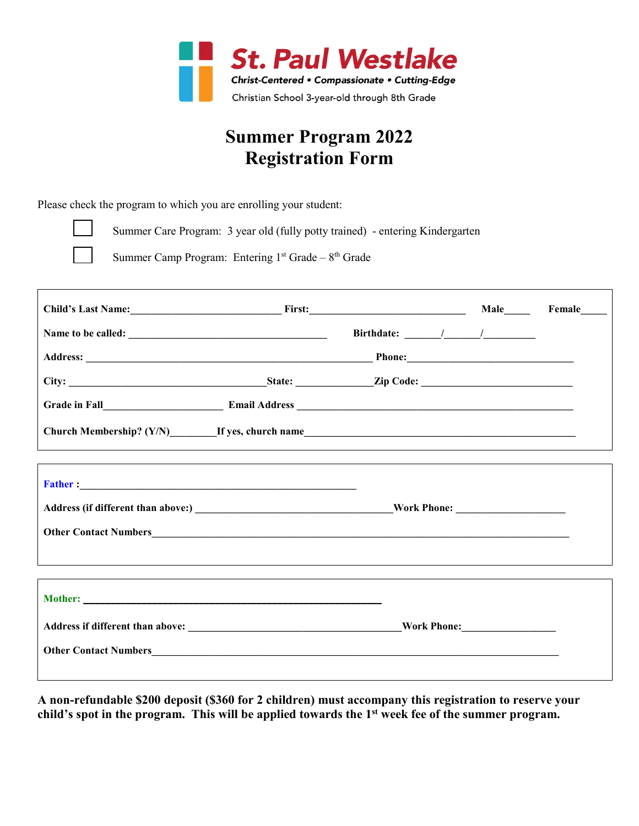

## **Summer Program 2022 Registration Form**

Please check the program to which you are enrolling your student:



Summer Care Program: 3 year old (fully potty trained) - entering Kindergarten

Summer Camp Program: Entering  $1<sup>st</sup>$  Grade –  $8<sup>th</sup>$  Grade

| Child's Last Name: First: First: Male Male Female                                                                                                                                                                             |  |  |
|-------------------------------------------------------------------------------------------------------------------------------------------------------------------------------------------------------------------------------|--|--|
|                                                                                                                                                                                                                               |  |  |
|                                                                                                                                                                                                                               |  |  |
|                                                                                                                                                                                                                               |  |  |
|                                                                                                                                                                                                                               |  |  |
|                                                                                                                                                                                                                               |  |  |
|                                                                                                                                                                                                                               |  |  |
| <b>Father:</b> 2000 <b>CONTRACT 2000 CONTRACT 2000 CONTRACT 2000 CONTRACT 2000</b>                                                                                                                                            |  |  |
|                                                                                                                                                                                                                               |  |  |
| Other Contact Numbers Contact Numbers Contact Numbers Contact Numbers Contact Numbers Contact Numbers Contact Numbers Contact Numbers Contact Numbers Contact Numbers Contact Numbers Contact Numbers Contact Numbers Contact |  |  |
|                                                                                                                                                                                                                               |  |  |
|                                                                                                                                                                                                                               |  |  |
| Mother: Note and the contract of the contract of the contract of the contract of the contract of the contract of the contract of the contract of the contract of the contract of the contract of the contract of the contract |  |  |
|                                                                                                                                                                                                                               |  |  |
|                                                                                                                                                                                                                               |  |  |
|                                                                                                                                                                                                                               |  |  |

**A non-refundable \$200 deposit (\$360 for 2 children) must accompany this registration to reserve your child's spot in the program. This will be applied towards the 1st week fee of the summer program.**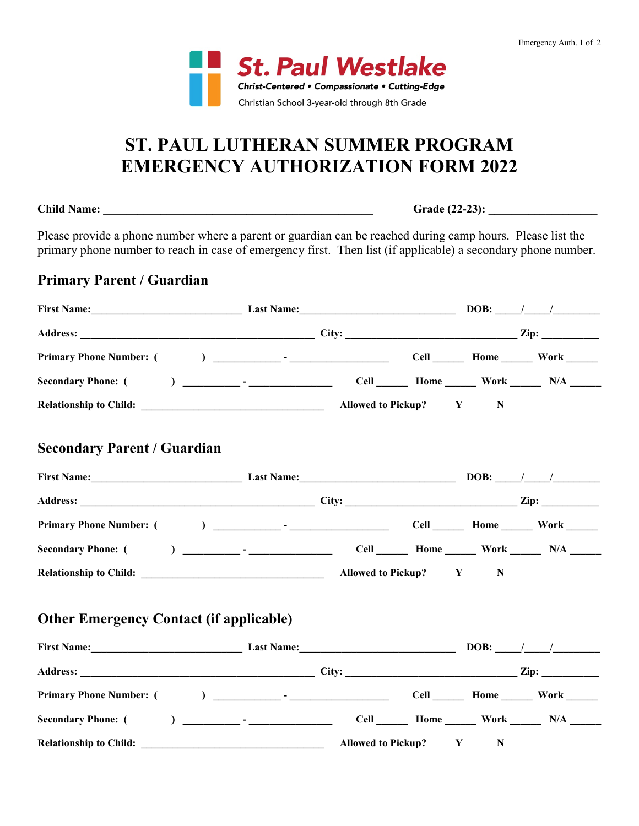

## **ST. PAUL LUTHERAN SUMMER PROGRAM EMERGENCY AUTHORIZATION FORM 2022**

**Child Name: \_\_\_\_\_\_\_\_\_\_\_\_\_\_\_\_\_\_\_\_\_\_\_\_\_\_\_\_\_\_\_\_\_\_\_\_\_\_\_\_\_\_\_\_\_\_\_ Grade (22-23): \_\_\_\_\_\_\_\_\_\_\_\_\_\_\_\_\_\_\_**

Please provide a phone number where a parent or guardian can be reached during camp hours. Please list the primary phone number to reach in case of emergency first. Then list (if applicable) a secondary phone number.

### **Primary Parent / Guardian**

| First Name: Last Name:                                                                                                                                                                                          | <u> 1990 - Johann Barbara, martin amerikan ba</u> |   | <b>DOB:</b> $\frac{1}{2}$ |
|-----------------------------------------------------------------------------------------------------------------------------------------------------------------------------------------------------------------|---------------------------------------------------|---|---------------------------|
|                                                                                                                                                                                                                 |                                                   |   |                           |
|                                                                                                                                                                                                                 |                                                   |   |                           |
|                                                                                                                                                                                                                 |                                                   |   |                           |
|                                                                                                                                                                                                                 |                                                   | N |                           |
| <b>Secondary Parent / Guardian</b>                                                                                                                                                                              |                                                   |   |                           |
|                                                                                                                                                                                                                 |                                                   |   |                           |
|                                                                                                                                                                                                                 |                                                   |   |                           |
|                                                                                                                                                                                                                 |                                                   |   |                           |
|                                                                                                                                                                                                                 |                                                   |   |                           |
|                                                                                                                                                                                                                 |                                                   | N |                           |
| <b>Other Emergency Contact (if applicable)</b><br>First Name: $\begin{array}{c c} \text{First Name:} \end{array}$ Last Name: $\begin{array}{c c} \text{DOB:} \end{array}$ DOB: $\begin{array}{c c} \end{array}$ |                                                   |   |                           |
|                                                                                                                                                                                                                 |                                                   |   |                           |
|                                                                                                                                                                                                                 |                                                   |   |                           |
|                                                                                                                                                                                                                 |                                                   |   |                           |
| Relationship to Child: New York Child: New York Child:                                                                                                                                                          | Allowed to Pickup? Y                              | N |                           |
|                                                                                                                                                                                                                 |                                                   |   |                           |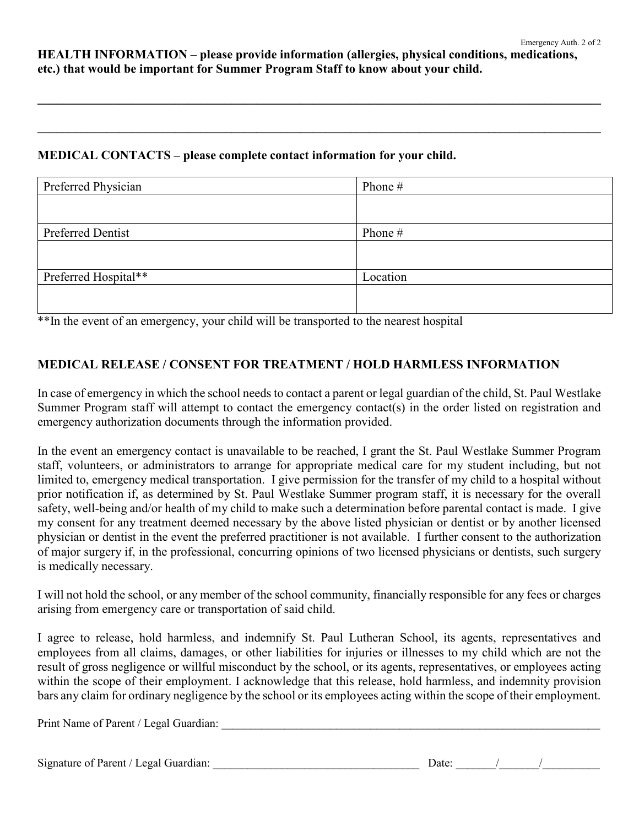**HEALTH INFORMATION – please provide information (allergies, physical conditions, medications, etc.) that would be important for Summer Program Staff to know about your child.**

**\_\_\_\_\_\_\_\_\_\_\_\_\_\_\_\_\_\_\_\_\_\_\_\_\_\_\_\_\_\_\_\_\_\_\_\_\_\_\_\_\_\_\_\_\_\_\_\_\_\_\_\_\_\_\_\_\_\_\_\_\_\_\_\_\_\_\_\_\_\_\_\_\_\_\_\_\_\_\_\_\_\_\_\_\_\_\_\_\_\_**

**\_\_\_\_\_\_\_\_\_\_\_\_\_\_\_\_\_\_\_\_\_\_\_\_\_\_\_\_\_\_\_\_\_\_\_\_\_\_\_\_\_\_\_\_\_\_\_\_\_\_\_\_\_\_\_\_\_\_\_\_\_\_\_\_\_\_\_\_\_\_\_\_\_\_\_\_\_\_\_\_\_\_\_\_\_\_\_\_\_\_**

#### **MEDICAL CONTACTS – please complete contact information for your child.**

| Preferred Physician  | Phone #  |
|----------------------|----------|
|                      |          |
|                      |          |
| Preferred Dentist    | Phone #  |
|                      |          |
|                      |          |
| Preferred Hospital** | Location |
|                      |          |
|                      |          |

\*\*In the event of an emergency, your child will be transported to the nearest hospital

#### **MEDICAL RELEASE / CONSENT FOR TREATMENT / HOLD HARMLESS INFORMATION**

In case of emergency in which the school needs to contact a parent or legal guardian of the child, St. Paul Westlake Summer Program staff will attempt to contact the emergency contact(s) in the order listed on registration and emergency authorization documents through the information provided.

In the event an emergency contact is unavailable to be reached, I grant the St. Paul Westlake Summer Program staff, volunteers, or administrators to arrange for appropriate medical care for my student including, but not limited to, emergency medical transportation. I give permission for the transfer of my child to a hospital without prior notification if, as determined by St. Paul Westlake Summer program staff, it is necessary for the overall safety, well-being and/or health of my child to make such a determination before parental contact is made. I give my consent for any treatment deemed necessary by the above listed physician or dentist or by another licensed physician or dentist in the event the preferred practitioner is not available. I further consent to the authorization of major surgery if, in the professional, concurring opinions of two licensed physicians or dentists, such surgery is medically necessary.

I will not hold the school, or any member of the school community, financially responsible for any fees or charges arising from emergency care or transportation of said child.

I agree to release, hold harmless, and indemnify St. Paul Lutheran School, its agents, representatives and employees from all claims, damages, or other liabilities for injuries or illnesses to my child which are not the result of gross negligence or willful misconduct by the school, or its agents, representatives, or employees acting within the scope of their employment. I acknowledge that this release, hold harmless, and indemnity provision bars any claim for ordinary negligence by the school or its employees acting within the scope of their employment.

Print Name of Parent / Legal Guardian:

Signature of Parent / Legal Guardian:

| Date: |  |  |  |
|-------|--|--|--|
|-------|--|--|--|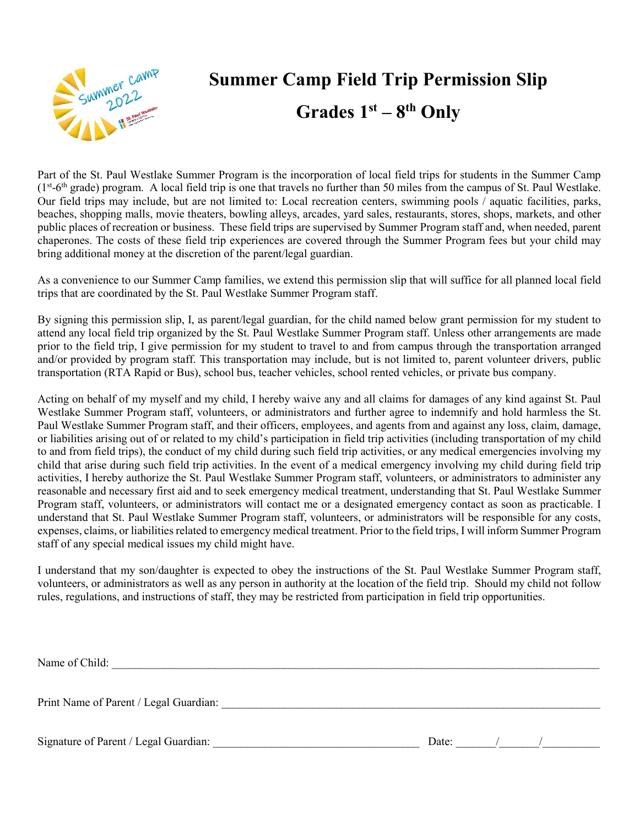

# **Summer Camp Field Trip Permission Slip Grades 1st – 8th Only**

Part of the St. Paul Westlake Summer Program is the incorporation of local field trips for students in the Summer Camp  $(1<sup>st</sup>-6<sup>th</sup> grade) program.$  A local field trip is one that travels no further than 50 miles from the campus of St. Paul Westlake. Our field trips may include, but are not limited to: Local recreation centers, swimming pools / aquatic facilities, parks, beaches, shopping malls, movie theaters, bowling alleys, arcades, yard sales, restaurants, stores, shops, markets, and other public places of recreation or business. These field trips are supervised by Summer Program staff and, when needed, parent chaperones. The costs of these field trip experiences are covered through the Summer Program fees but your child may bring additional money at the discretion of the parent/legal guardian.

As a convenience to our Summer Camp families, we extend this permission slip that will suffice for all planned local field trips that are coordinated by the St. Paul Westlake Summer Program staff.

By signing this permission slip, I, as parent/legal guardian, for the child named below grant permission for my student to attend any local field trip organized by the St. Paul Westlake Summer Program staff. Unless other arrangements are made prior to the field trip, I give permission for my student to travel to and from campus through the transportation arranged and/or provided by program staff. This transportation may include, but is not limited to, parent volunteer drivers, public transportation (RTA Rapid or Bus), school bus, teacher vehicles, school rented vehicles, or private bus company.

Acting on behalf of my myself and my child, I hereby waive any and all claims for damages of any kind against St. Paul Westlake Summer Program staff, volunteers, or administrators and further agree to indemnify and hold harmless the St. Paul Westlake Summer Program staff, and their officers, employees, and agents from and against any loss, claim, damage, or liabilities arising out of or related to my child's participation in field trip activities (including transportation of my child to and from field trips), the conduct of my child during such field trip activities, or any medical emergencies involving my child that arise during such field trip activities. In the event of a medical emergency involving my child during field trip activities, I hereby authorize the St. Paul Westlake Summer Program staff, volunteers, or administrators to administer any reasonable and necessary first aid and to seek emergency medical treatment, understanding that St. Paul Westlake Summer Program staff, volunteers, or administrators will contact me or a designated emergency contact as soon as practicable. I understand that St. Paul Westlake Summer Program staff, volunteers, or administrators will be responsible for any costs, expenses, claims, or liabilities related to emergency medical treatment. Prior to the field trips, I will inform Summer Program staff of any special medical issues my child might have.

I understand that my son/daughter is expected to obey the instructions of the St. Paul Westlake Summer Program staff, volunteers, or administrators as well as any person in authority at the location of the field trip. Should my child not follow rules, regulations, and instructions of staff, they may be restricted from participation in field trip opportunities.

Name of Child: \_\_\_\_\_\_\_\_\_\_\_\_\_\_\_\_\_\_\_\_\_\_\_\_\_\_\_\_\_\_\_\_\_\_\_\_\_\_\_\_\_\_\_\_\_\_\_\_\_\_\_\_\_\_\_\_\_\_\_\_\_\_\_\_\_\_\_\_\_\_\_\_\_\_\_\_\_\_\_\_\_\_\_\_\_ Print Name of Parent / Legal Guardian: \_\_\_\_\_\_\_\_\_\_\_\_\_\_\_\_\_\_\_\_\_\_\_\_\_\_\_\_\_\_\_\_\_\_\_\_\_\_\_\_\_\_\_\_\_\_\_\_\_\_\_\_\_\_\_\_\_\_\_\_\_\_\_\_\_\_ Signature of Parent / Legal Guardian: \_\_\_\_\_\_\_\_\_\_\_\_\_\_\_\_\_\_\_\_\_\_\_\_\_\_\_\_\_\_\_\_\_\_\_\_ Date: \_\_\_\_\_\_\_/\_\_\_\_\_\_\_/\_\_\_\_\_\_\_\_\_\_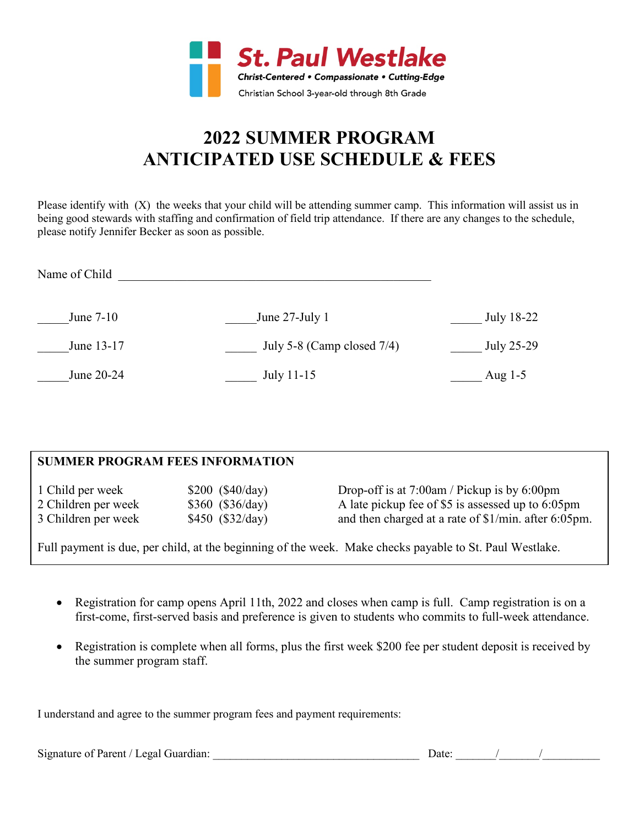

## **2022 SUMMER PROGRAM ANTICIPATED USE SCHEDULE & FEES**

Please identify with (X) the weeks that your child will be attending summer camp. This information will assist us in being good stewards with staffing and confirmation of field trip attendance. If there are any changes to the schedule, please notify Jennifer Becker as soon as possible.

| Name of Child |                               |            |
|---------------|-------------------------------|------------|
| June 7-10     | June $27$ -July 1             | July 18-22 |
| June 13-17    | July 5-8 (Camp closed $7/4$ ) | July 25-29 |
| June 20-24    | July 11-15                    | Aug $1-5$  |

#### **SUMMER PROGRAM FEES INFORMATION**

| 1 Child per week    | \$200 (\$40/day)  | Drop-off is at $7:00$ am / Pickup is by 6:00pm                       |
|---------------------|-------------------|----------------------------------------------------------------------|
| 2 Children per week | \$360 (\$36/day)  | A late pickup fee of \$5 is assessed up to 6:05pm                    |
| 3 Children per week | $$450$ (\$32/day) | and then charged at a rate of $\frac{1}{\text{min}}$ . after 6:05pm. |

Full payment is due, per child, at the beginning of the week. Make checks payable to St. Paul Westlake.

- Registration for camp opens April 11th, 2022 and closes when camp is full. Camp registration is on a first-come, first-served basis and preference is given to students who commits to full-week attendance.
- Registration is complete when all forms, plus the first week \$200 fee per student deposit is received by the summer program staff.

I understand and agree to the summer program fees and payment requirements:

Signature of Parent / Legal Guardian:  $\Box$  Date:  $\Box$  /